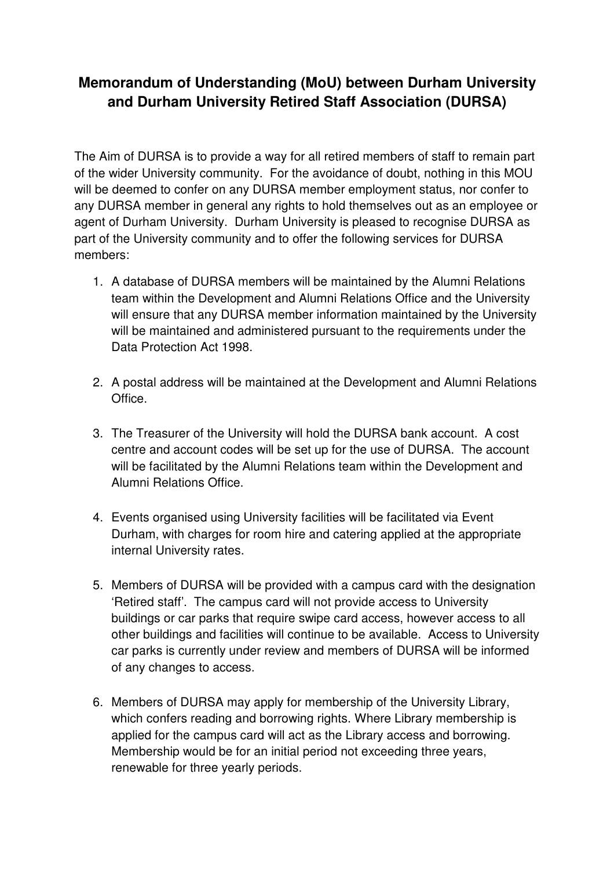## **Memorandum of Understanding (MoU) between Durham University and Durham University Retired Staff Association (DURSA)**

The Aim of DURSA is to provide a way for all retired members of staff to remain part of the wider University community. For the avoidance of doubt, nothing in this MOU will be deemed to confer on any DURSA member employment status, nor confer to any DURSA member in general any rights to hold themselves out as an employee or agent of Durham University. Durham University is pleased to recognise DURSA as part of the University community and to offer the following services for DURSA members:

- 1. A database of DURSA members will be maintained by the Alumni Relations team within the Development and Alumni Relations Office and the University will ensure that any DURSA member information maintained by the University will be maintained and administered pursuant to the requirements under the Data Protection Act 1998.
- 2. A postal address will be maintained at the Development and Alumni Relations Office.
- 3. The Treasurer of the University will hold the DURSA bank account. A cost centre and account codes will be set up for the use of DURSA. The account will be facilitated by the Alumni Relations team within the Development and Alumni Relations Office.
- 4. Events organised using University facilities will be facilitated via Event Durham, with charges for room hire and catering applied at the appropriate internal University rates.
- 5. Members of DURSA will be provided with a campus card with the designation 'Retired staff'. The campus card will not provide access to University buildings or car parks that require swipe card access, however access to all other buildings and facilities will continue to be available. Access to University car parks is currently under review and members of DURSA will be informed of any changes to access.
- 6. Members of DURSA may apply for membership of the University Library, which confers reading and borrowing rights. Where Library membership is applied for the campus card will act as the Library access and borrowing. Membership would be for an initial period not exceeding three years, renewable for three yearly periods.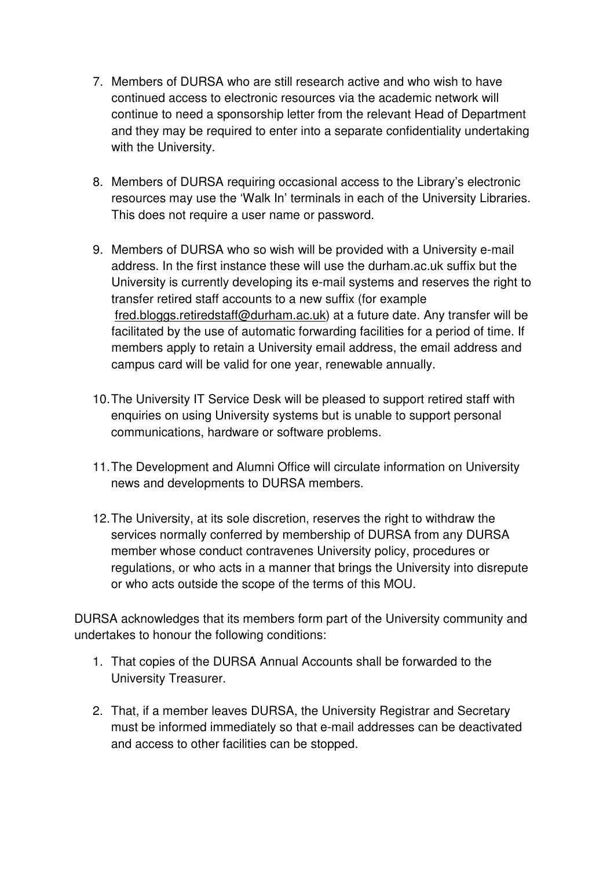- 7. Members of DURSA who are still research active and who wish to have continued access to electronic resources via the academic network will continue to need a sponsorship letter from the relevant Head of Department and they may be required to enter into a separate confidentiality undertaking with the University.
- 8. Members of DURSA requiring occasional access to the Library's electronic resources may use the 'Walk In' terminals in each of the University Libraries. This does not require a user name or password.
- 9. Members of DURSA who so wish will be provided with a University e-mail address. In the first instance these will use the durham.ac.uk suffix but the University is currently developing its e-mail systems and reserves the right to transfer retired staff accounts to a new suffix (for example fred.bloggs.retiredstaff@durham.ac.uk) at a future date. Any transfer will be facilitated by the use of automatic forwarding facilities for a period of time. If members apply to retain a University email address, the email address and campus card will be valid for one year, renewable annually.
- 10. The University IT Service Desk will be pleased to support retired staff with enquiries on using University systems but is unable to support personal communications, hardware or software problems.
- 11. The Development and Alumni Office will circulate information on University news and developments to DURSA members.
- 12. The University, at its sole discretion, reserves the right to withdraw the services normally conferred by membership of DURSA from any DURSA member whose conduct contravenes University policy, procedures or regulations, or who acts in a manner that brings the University into disrepute or who acts outside the scope of the terms of this MOU.

DURSA acknowledges that its members form part of the University community and undertakes to honour the following conditions:

- 1. That copies of the DURSA Annual Accounts shall be forwarded to the University Treasurer.
- 2. That, if a member leaves DURSA, the University Registrar and Secretary must be informed immediately so that e-mail addresses can be deactivated and access to other facilities can be stopped.